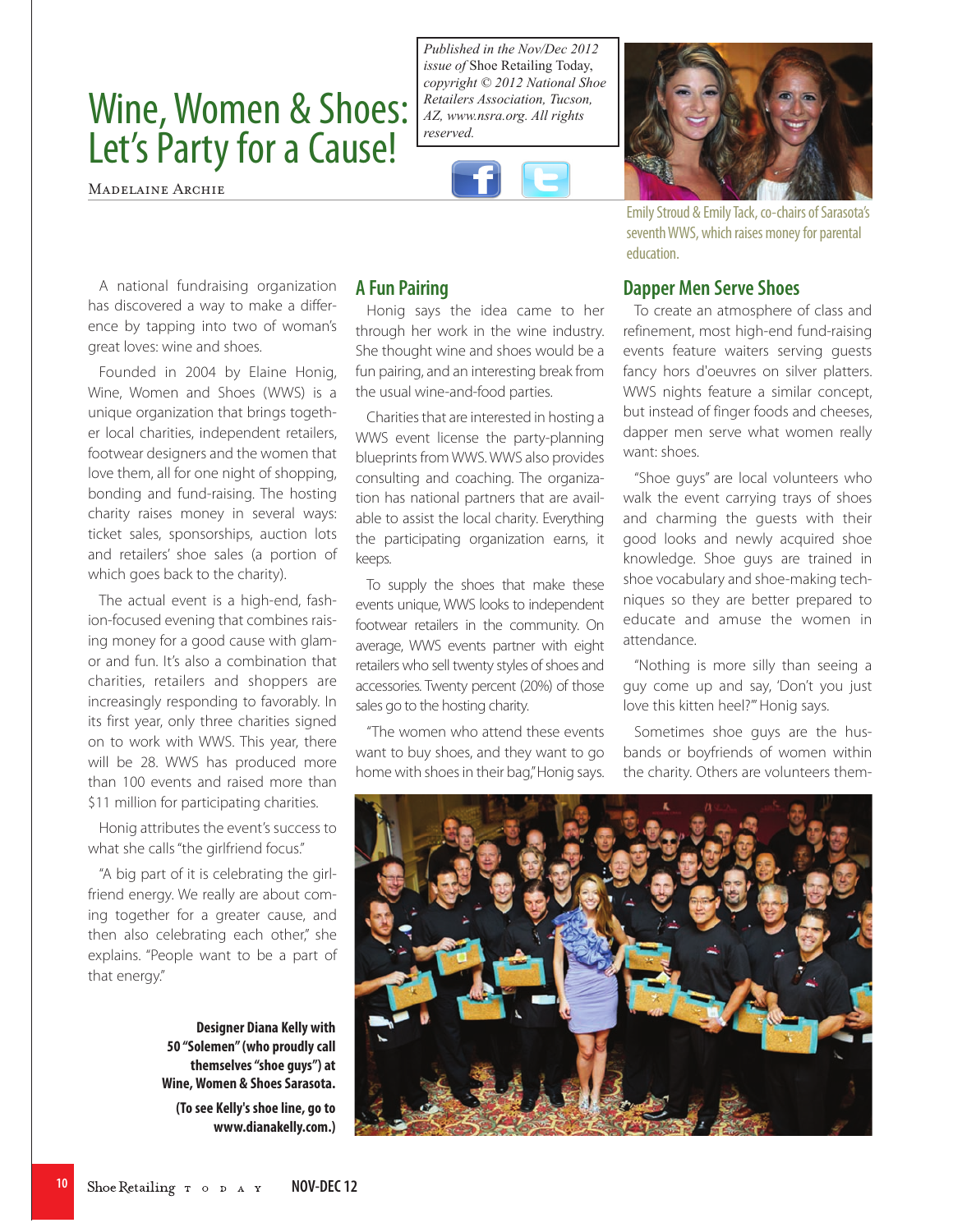## Wine, Women & Shoes: Let's Party for a Cause!

Madelaine Archie

*Published in the Nov/Dec 2012 issue of* Shoe Retailing Today, *copyright © 2012 National Shoe Retailers Association, Tucson, AZ, www.nsra.org. All rights reserved.*



Honig says the idea came to her through her work in the wine industry. She thought wine and shoes would be a fun pairing, and an interesting break from

Charities that are interested in hosting a WWS event license the party-planning blueprints from WWS. WWS also provides consulting and coaching. The organization has national partners that are available to assist the local charity. Everything the participating organization earns, it

To supply the shoes that make these events unique, WWS looks to independent footwear retailers in the community. On average, WWS events partner with eight retailers who sell twenty styles of shoes and accessories. Twenty percent (20%) of those

"The women who attend these events want to buy shoes, and they want to go home with shoes in their bag," Honig says.

sales go to the hosting charity.

the usual wine-and-food parties.

**A Fun Pairing**

keeps.



Emily Stroud & Emily Tack, co-chairs of Sarasota's seventh WWS, which raises money for parental education.

## **Dapper Men Serve Shoes**

To create an atmosphere of class and refinement, most high-end fund-raising events feature waiters serving guests fancy hors d'oeuvres on silver platters. WWS nights feature a similar concept, but instead of finger foods and cheeses, dapper men serve what women really want: shoes.

"Shoe guys" are local volunteers who walk the event carrying trays of shoes and charming the guests with their good looks and newly acquired shoe knowledge. Shoe guys are trained in shoe vocabulary and shoe-making techniques so they are better prepared to educate and amuse the women in attendance.

"Nothing is more silly than seeing a guy come up and say, 'Don't you just love this kitten heel?'" Honig says.

Sometimes shoe guys are the husbands or boyfriends of women within the charity. Others are volunteers them-



A national fundraising organization has discovered a way to make a difference by tapping into two of woman's great loves: wine and shoes.

Founded in 2004 by Elaine Honig, Wine, Women and Shoes (WWS) is a unique organization that brings together local charities, independent retailers, footwear designers and the women that love them, all for one night of shopping, bonding and fund-raising. The hosting charity raises money in several ways: ticket sales, sponsorships, auction lots and retailers' shoe sales (a portion of which goes back to the charity).

The actual event is a high-end, fashion-focused evening that combines raising money for a good cause with glamor and fun. It's also a combination that charities, retailers and shoppers are increasingly responding to favorably. In its first year, only three charities signed on to work with WWS. This year, there will be 28. WWS has produced more than 100 events and raised more than \$11 million for participating charities.

Honig attributes the event's success to what she calls "the girlfriend focus."

"A big part of it is celebrating the girlfriend energy. We really are about coming together for a greater cause, and then also celebrating each other," she explains. "People want to be a part of that energy."

> **Designer Diana Kelly with 50 "Solemen" (who proudly call themselves "shoe guys") at Wine, Women & Shoes Sarasota. (To see Kelly's shoe line, go to www.dianakelly.com.)**